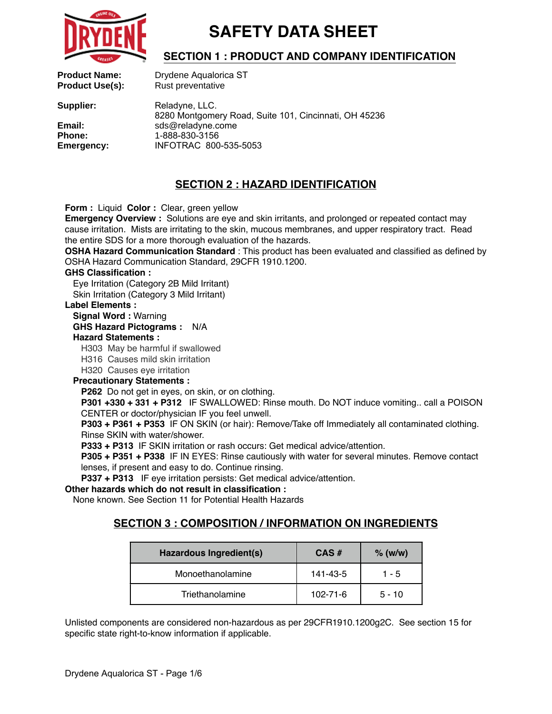

## **SECTION 1 : PRODUCT AND COMPANY IDENTIFICATION**

**Product Name:** Drydene Aqualorica ST **Product Use(s):** Rust preventative

**Supplier:** Reladyne, LLC. 8280 Montgomery Road, Suite 101, Cincinnati, OH 45236 **Email:** sds@reladyne.come **Phone:** 1-888-830-3156 **Emergency:** INFOTRAC 800-535-5053

## **SECTION 2 : HAZARD IDENTIFICATION**

**Form :** Liquid **Color :** Clear, green yellow

**Emergency Overview :** Solutions are eye and skin irritants, and prolonged or repeated contact may cause irritation. Mists are irritating to the skin, mucous membranes, and upper respiratory tract. Read the entire SDS for a more thorough evaluation of the hazards.

**OSHA Hazard Communication Standard** : This product has been evaluated and classified as defined by OSHA Hazard Communication Standard, 29CFR 1910.1200.

#### **GHS Classification :**

Eye Irritation (Category 2B Mild Irritant) Skin Irritation (Category 3 Mild Irritant)

#### **Label Elements :**

#### **Signal Word :** Warning

**GHS Hazard Pictograms :** N/A

#### **Hazard Statements :**

H303 May be harmful if swallowed

H316 Causes mild skin irritation

H320 Causes eye irritation

#### **Precautionary Statements :**

**P262** Do not get in eyes, on skin, or on clothing.

**P301 +330 + 331 + P312** IF SWALLOWED: Rinse mouth. Do NOT induce vomiting.. call a POISON CENTER or doctor/physician IF you feel unwell.

**P303 + P361 + P353** IF ON SKIN (or hair): Remove/Take off Immediately all contaminated clothing. Rinse SKIN with water/shower.

**P333 + P313** IF SKIN irritation or rash occurs: Get medical advice/attention.

**P305 + P351 + P338** IF IN EYES: Rinse cautiously with water for several minutes. Remove contact lenses, if present and easy to do. Continue rinsing.

**P337 + P313** IF eye irritation persists: Get medical advice/attention.

### **Other hazards which do not result in classification :**

None known. See Section 11 for Potential Health Hazards

## **SECTION 3 : COMPOSITION / INFORMATION ON INGREDIENTS**

| Hazardous Ingredient(s) | $CAS \#$       | $%$ (w/w) |
|-------------------------|----------------|-----------|
| Monoethanolamine        | 141-43-5       | 1 - 5     |
| Triethanolamine         | $102 - 71 - 6$ | $5 - 10$  |

Unlisted components are considered non-hazardous as per 29CFR1910.1200g2C. See section 15 for specific state right-to-know information if applicable.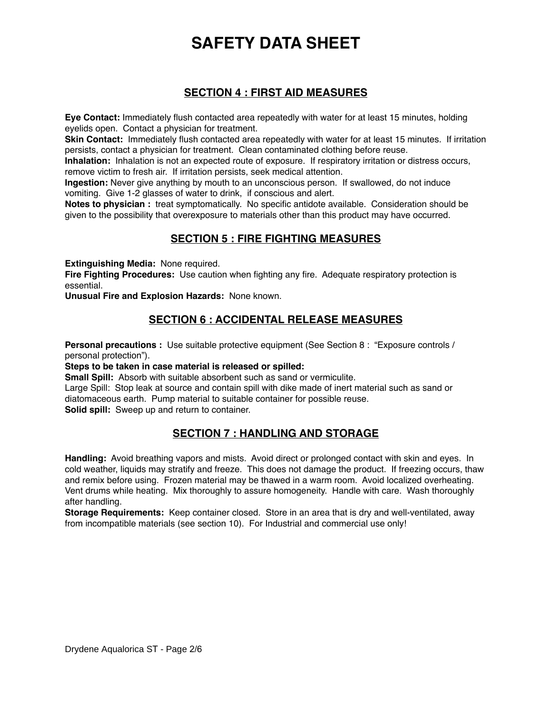## **SECTION 4 : FIRST AID MEASURES**

**Eye Contact:** Immediately flush contacted area repeatedly with water for at least 15 minutes, holding eyelids open. Contact a physician for treatment.

**Skin Contact:** Immediately flush contacted area repeatedly with water for at least 15 minutes. If irritation persists, contact a physician for treatment. Clean contaminated clothing before reuse.

**Inhalation:** Inhalation is not an expected route of exposure. If respiratory irritation or distress occurs, remove victim to fresh air. If irritation persists, seek medical attention.

**Ingestion:** Never give anything by mouth to an unconscious person. If swallowed, do not induce vomiting. Give 1-2 glasses of water to drink, if conscious and alert.

**Notes to physician :** treat symptomatically. No specific antidote available. Consideration should be given to the possibility that overexposure to materials other than this product may have occurred.

## **SECTION 5 : FIRE FIGHTING MEASURES**

**Extinguishing Media:** None required.

**Fire Fighting Procedures:** Use caution when fighting any fire. Adequate respiratory protection is essential.

**Unusual Fire and Explosion Hazards:** None known.

## **SECTION 6 : ACCIDENTAL RELEASE MEASURES**

**Personal precautions :** Use suitable protective equipment (See Section 8 : "Exposure controls / personal protection").

**Steps to be taken in case material is released or spilled:**

**Small Spill:** Absorb with suitable absorbent such as sand or vermiculite.

Large Spill: Stop leak at source and contain spill with dike made of inert material such as sand or diatomaceous earth. Pump material to suitable container for possible reuse.

**Solid spill:** Sweep up and return to container.

## **SECTION 7 : HANDLING AND STORAGE**

**Handling:** Avoid breathing vapors and mists. Avoid direct or prolonged contact with skin and eyes. In cold weather, liquids may stratify and freeze. This does not damage the product. If freezing occurs, thaw and remix before using. Frozen material may be thawed in a warm room. Avoid localized overheating. Vent drums while heating. Mix thoroughly to assure homogeneity. Handle with care. Wash thoroughly after handling.

**Storage Requirements:** Keep container closed. Store in an area that is dry and well-ventilated, away from incompatible materials (see section 10). For Industrial and commercial use only!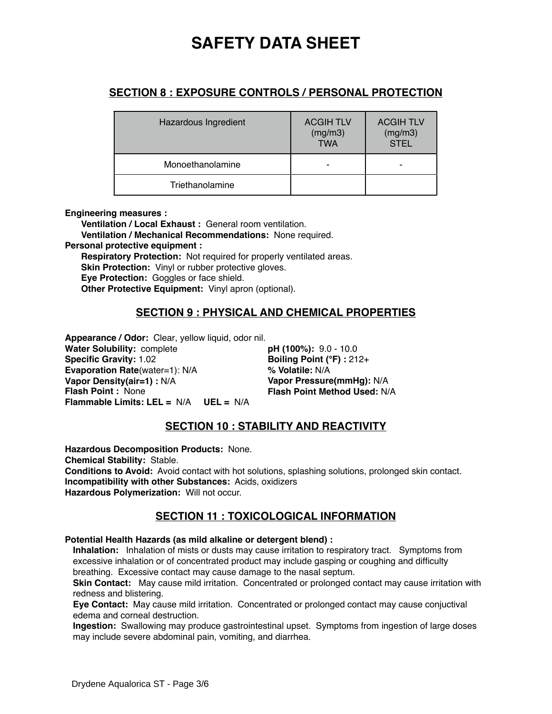## **SECTION 8 : EXPOSURE CONTROLS / PERSONAL PROTECTION**

| Hazardous Ingredient | <b>ACGIH TLV</b><br>(mg/m3)<br><b>TWA</b> | <b>ACGIHTLV</b><br>(mg/m3)<br><b>STEL</b> |
|----------------------|-------------------------------------------|-------------------------------------------|
| Monoethanolamine     | -                                         |                                           |
| Triethanolamine      |                                           |                                           |

**Engineering measures :**

**Ventilation / Local Exhaust :** General room ventilation. **Ventilation / Mechanical Recommendations:** None required. **Personal protective equipment :**

**Respiratory Protection:** Not required for properly ventilated areas. **Skin Protection:** Vinyl or rubber protective gloves. **Eye Protection:** Goggles or face shield. **Other Protective Equipment:** Vinyl apron (optional).

## **SECTION 9 : PHYSICAL AND CHEMICAL PROPERTIES**

**Appearance / Odor:** Clear, yellow liquid, odor nil. **Water Solubility:** complete **Specific Gravity:** 1.02 **Evaporation Rate**(water=1): N/A **Vapor Density(air=1) :** N/A **Flash Point :** None **Flammable Limits: LEL =** N/A **UEL =** N/A

**pH (100%):** 9.0 - 10.0 **Boiling Point (°F) :** 212+ **% Volatile:** N/A **Vapor Pressure(mmHg):** N/A **Flash Point Method Used:** N/A

## **SECTION 10 : STABILITY AND REACTIVITY**

**Hazardous Decomposition Products:** None. **Chemical Stability:** Stable. **Conditions to Avoid:** Avoid contact with hot solutions, splashing solutions, prolonged skin contact. **Incompatibility with other Substances:** Acids, oxidizers **Hazardous Polymerization:** Will not occur.

## **SECTION 11 : TOXICOLOGICAL INFORMATION**

#### **Potential Health Hazards (as mild alkaline or detergent blend) :**

**Inhalation:** Inhalation of mists or dusts may cause irritation to respiratory tract. Symptoms from excessive inhalation or of concentrated product may include gasping or coughing and difficulty breathing. Excessive contact may cause damage to the nasal septum.

**Skin Contact:** May cause mild irritation. Concentrated or prolonged contact may cause irritation with redness and blistering.

**Eye Contact:** May cause mild irritation. Concentrated or prolonged contact may cause conjuctival edema and corneal destruction.

**Ingestion:** Swallowing may produce gastrointestinal upset. Symptoms from ingestion of large doses may include severe abdominal pain, vomiting, and diarrhea.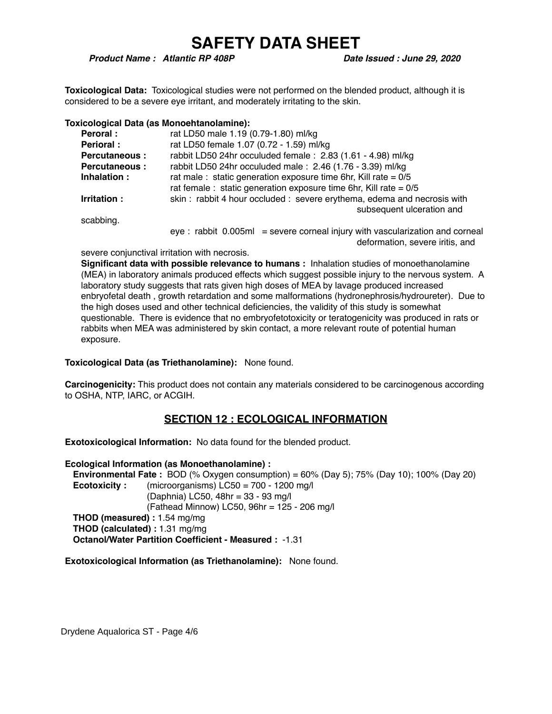*Product Name :* **Atlantic RP 408P** *Date Issued :* **June 29, 2020** 

**Toxicological Data:** Toxicological studies were not performed on the blended product, although it is considered to be a severe eye irritant, and moderately irritating to the skin.

#### **Toxicological Data (as Monoehtanolamine):**

| Peroral:             | rat LD50 male 1.19 (0.79-1.80) ml/kg                                           |  |
|----------------------|--------------------------------------------------------------------------------|--|
| <b>Perioral:</b>     | rat LD50 female 1.07 (0.72 - 1.59) ml/kg                                       |  |
| <b>Percutaneous:</b> | rabbit LD50 24hr occuluded female: 2.83 (1.61 - 4.98) ml/kg                    |  |
| <b>Percutaneous:</b> | rabbit LD50 24hr occuluded male: 2.46 (1.76 - 3.39) ml/kg                      |  |
| Inhalation :         | rat male: static generation exposure time 6hr, Kill rate = $0/5$               |  |
|                      | rat female : static generation exposure time 6hr, Kill rate = $0/5$            |  |
| Irritation:          | skin: rabbit 4 hour occluded: severe erythema, edema and necrosis with         |  |
|                      | subsequent ulceration and                                                      |  |
| scabbing.            |                                                                                |  |
|                      | $eye:$ rabbit 0.005ml = severe corneal injury with vascularization and corneal |  |
|                      | deformation, severe iritis, and                                                |  |

severe conjunctival irritation with necrosis.

**Significant data with possible relevance to humans :** Inhalation studies of monoethanolamine (MEA) in laboratory animals produced effects which suggest possible injury to the nervous system. A laboratory study suggests that rats given high doses of MEA by lavage produced increased enbryofetal death , growth retardation and some malformations (hydronephrosis/hydroureter). Due to the high doses used and other technical deficiencies, the validity of this study is somewhat questionable. There is evidence that no embryofetotoxicity or teratogenicity was produced in rats or rabbits when MEA was administered by skin contact, a more relevant route of potential human exposure.

#### **Toxicological Data (as Triethanolamine):** None found.

**Carcinogenicity:** This product does not contain any materials considered to be carcinogenous according to OSHA, NTP, IARC, or ACGIH.

## **SECTION 12 : ECOLOGICAL INFORMATION**

**Exotoxicological Information:** No data found for the blended product.

**Ecological Information (as Monoethanolamine) : Environmental Fate :** BOD (% Oxygen consumption) = 60% (Day 5); 75% (Day 10); 100% (Day 20) **Ecotoxicity :** (microorganisms) LC50 = 700 - 1200 mg/l (Daphnia) LC50, 48hr = 33 - 93 mg/l (Fathead Minnow) LC50, 96hr = 125 - 206 mg/l **THOD (measured) :** 1.54 mg/mg **THOD (calculated) :** 1.31 mg/mg **Octanol/Water Partition Coefficient - Measured :** -1.31

**Exotoxicological Information (as Triethanolamine):** None found.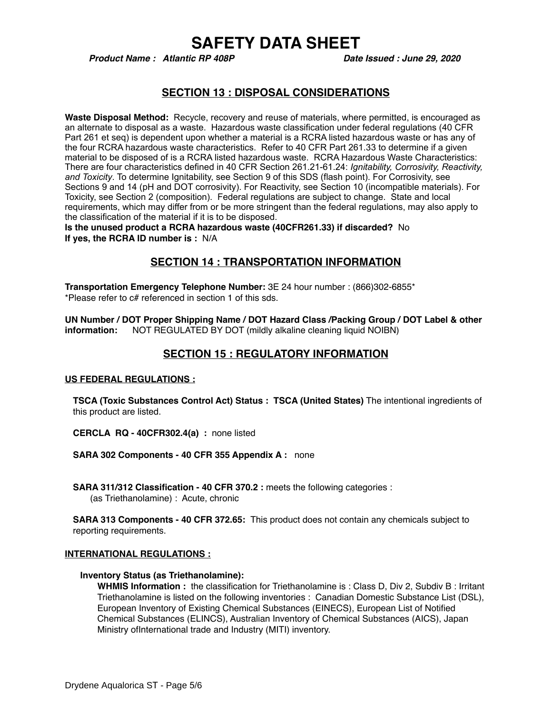*Product Name :* **Atlantic RP 408P** *Date Issued :* **June 29, 2020** 

#### **SECTION 13 : DISPOSAL CONSIDERATIONS**

**Waste Disposal Method:** Recycle, recovery and reuse of materials, where permitted, is encouraged as an alternate to disposal as a waste. Hazardous waste classification under federal regulations (40 CFR Part 261 et seq) is dependent upon whether a material is a RCRA listed hazardous waste or has any of the four RCRA hazardous waste characteristics. Refer to 40 CFR Part 261.33 to determine if a given material to be disposed of is a RCRA listed hazardous waste. RCRA Hazardous Waste Characteristics: There are four characteristics defined in 40 CFR Section 261.21-61.24: *Ignitability, Corrosivity, Reactivity, and Toxicity*. To determine Ignitability, see Section 9 of this SDS (flash point). For Corrosivity, see Sections 9 and 14 (pH and DOT corrosivity). For Reactivity, see Section 10 (incompatible materials). For Toxicity, see Section 2 (composition). Federal regulations are subject to change. State and local requirements, which may differ from or be more stringent than the federal regulations, may also apply to the classification of the material if it is to be disposed.

**Is the unused product a RCRA hazardous waste (40CFR261.33) if discarded?** No **If yes, the RCRA ID number is :** N/A

#### **SECTION 14 : TRANSPORTATION INFORMATION**

**Transportation Emergency Telephone Number:** 3E 24 hour number : (866)302-6855\* \*Please refer to c# referenced in section 1 of this sds.

**UN Number / DOT Proper Shipping Name / DOT Hazard Class /Packing Group / DOT Label & other information:** NOT REGULATED BY DOT (mildly alkaline cleaning liquid NOIBN)

#### **SECTION 15 : REGULATORY INFORMATION**

#### **US FEDERAL REGULATIONS :**

**TSCA (Toxic Substances Control Act) Status : TSCA (United States)** The intentional ingredients of this product are listed.

**CERCLA RQ - 40CFR302.4(a) :** none listed

**SARA 302 Components - 40 CFR 355 Appendix A :** none

**SARA 311/312 Classification - 40 CFR 370.2 : meets the following categories :** (as Triethanolamine) : Acute, chronic

**SARA 313 Components - 40 CFR 372.65:** This product does not contain any chemicals subject to reporting requirements.

#### **INTERNATIONAL REGULATIONS :**

#### **Inventory Status (as Triethanolamine):**

**WHMIS Information :** the classification for Triethanolamine is : Class D, Div 2, Subdiv B : Irritant Triethanolamine is listed on the following inventories : Canadian Domestic Substance List (DSL), European Inventory of Existing Chemical Substances (EINECS), European List of Notified Chemical Substances (ELINCS), Australian Inventory of Chemical Substances (AICS), Japan Ministry ofInternational trade and Industry (MITI) inventory.